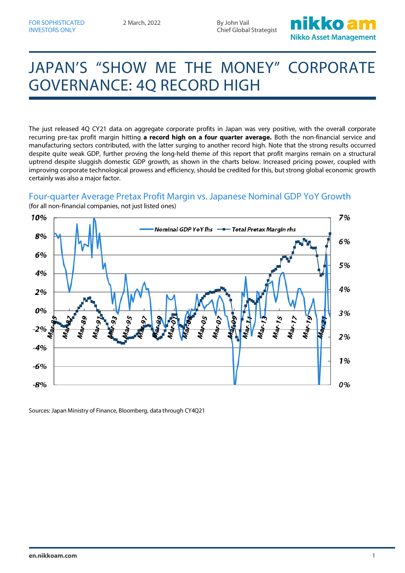2 March, 2022 By John Vail Chief Global Strategist



# JAPAN'S "SHOW ME THE MONEY" CORPORATE GOVERNANCE: 4Q RECORD HIGH

The just released 4Q CY21 data on aggregate corporate profits in Japan was very positive, with the overall corporate recurring pre-tax profit margin hitting **a record high on a four quarter average.** Both the non-financial service and manufacturing sectors contributed, with the latter surging to another record high. Note that the strong results occurred despite quite weak GDP, further proving the long-held theme of this report that profit margins remain on a structural uptrend despite sluggish domestic GDP growth, as shown in the charts below. Increased pricing power, coupled with improving corporate technological prowess and efficiency, should be credited for this, but strong global economic growth certainly was also a major factor.

### Four-quarter Average Pretax Profit Margin vs. Japanese Nominal GDP YoY Growth



(for all non-financial companies, not just listed ones)

Sources: Japan Ministry of Finance, Bloomberg, data through CY4Q21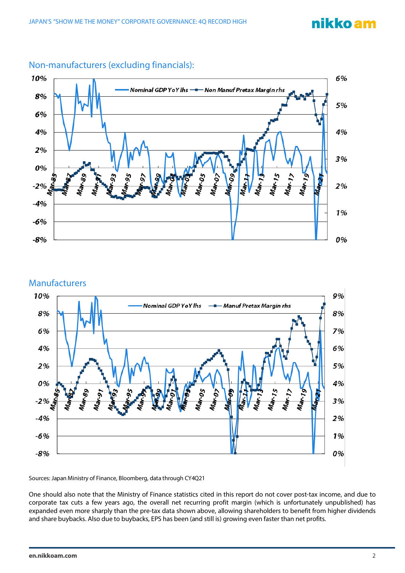## nikko am



### Non-manufacturers (excluding financials):



Sources: Japan Ministry of Finance, Bloomberg, data through CY4Q21

One should also note that the Ministry of Finance statistics cited in this report do not cover post-tax income, and due to corporate tax cuts a few years ago, the overall net recurring profit margin (which is unfortunately unpublished) has expanded even more sharply than the pre-tax data shown above, allowing shareholders to benefit from higher dividends and share buybacks. Also due to buybacks, EPS has been (and still is) growing even faster than net profits.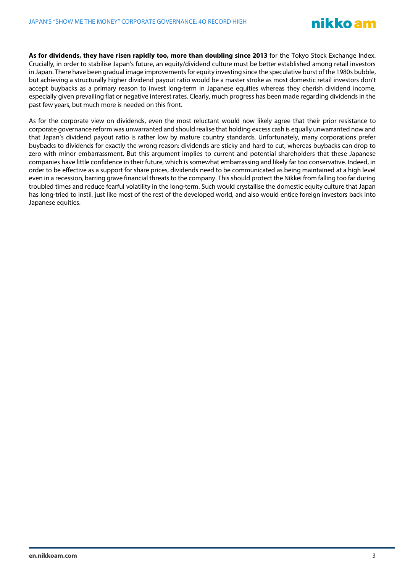**As for dividends, they have risen rapidly too, more than doubling since 2013** for the Tokyo Stock Exchange Index. Crucially, in order to stabilise Japan's future, an equity/dividend culture must be better established among retail investors in Japan. There have been gradual image improvements for equity investing since the speculative burst of the 1980s bubble, but achieving a structurally higher dividend payout ratio would be a master stroke as most domestic retail investors don't accept buybacks as a primary reason to invest long-term in Japanese equities whereas they cherish dividend income, especially given prevailing flat or negative interest rates. Clearly, much progress has been made regarding dividends in the past few years, but much more is needed on this front.

As for the corporate view on dividends, even the most reluctant would now likely agree that their prior resistance to corporate governance reform was unwarranted and should realise that holding excess cash is equally unwarranted now and that Japan's dividend payout ratio is rather low by mature country standards. Unfortunately, many corporations prefer buybacks to dividends for exactly the wrong reason: dividends are sticky and hard to cut, whereas buybacks can drop to zero with minor embarrassment. But this argument implies to current and potential shareholders that these Japanese companies have little confidence in their future, which is somewhat embarrassing and likely far too conservative. Indeed, in order to be effective as a support for share prices, dividends need to be communicated as being maintained at a high level even in a recession, barring grave financial threats to the company. This should protect the Nikkei from falling too far during troubled times and reduce fearful volatility in the long-term. Such would crystallise the domestic equity culture that Japan has long-tried to instil, just like most of the rest of the developed world, and also would entice foreign investors back into Japanese equities.